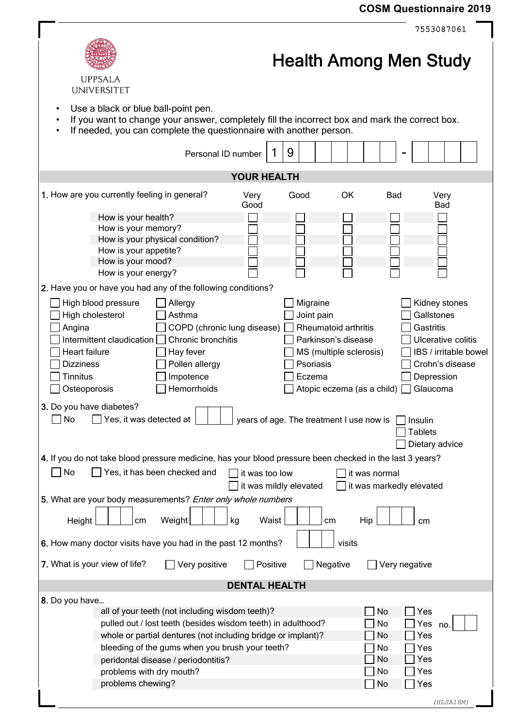## **COSM Questionnaire 2019**

|                                                                                                                                                                                                                                                                                                                                              | 7553087061                                                                                                                                                                                                                                                                                    |  |  |  |  |  |
|----------------------------------------------------------------------------------------------------------------------------------------------------------------------------------------------------------------------------------------------------------------------------------------------------------------------------------------------|-----------------------------------------------------------------------------------------------------------------------------------------------------------------------------------------------------------------------------------------------------------------------------------------------|--|--|--|--|--|
| <b>UPPSALA</b><br><b>UNIVERSITET</b>                                                                                                                                                                                                                                                                                                         | <b>Health Among Men Study</b>                                                                                                                                                                                                                                                                 |  |  |  |  |  |
| Use a black or blue ball-point pen.<br>If you want to change your answer, completely fill the incorrect box and mark the correct box.<br>If needed, you can complete the questionnaire with another person.                                                                                                                                  |                                                                                                                                                                                                                                                                                               |  |  |  |  |  |
| Personal ID number                                                                                                                                                                                                                                                                                                                           | 9                                                                                                                                                                                                                                                                                             |  |  |  |  |  |
|                                                                                                                                                                                                                                                                                                                                              | <b>YOUR HEALTH</b>                                                                                                                                                                                                                                                                            |  |  |  |  |  |
| 1. How are you currently feeling in general?<br>Very<br>Good                                                                                                                                                                                                                                                                                 | OK<br>Good<br><b>Bad</b><br>Very<br><b>Bad</b>                                                                                                                                                                                                                                                |  |  |  |  |  |
| How is your health?<br>How is your memory?<br>How is your physical condition?<br>How is your appetite?<br>How is your mood?<br>How is your energy?<br>2. Have you or have you had any of the following conditions?                                                                                                                           |                                                                                                                                                                                                                                                                                               |  |  |  |  |  |
| High blood pressure<br>Allergy<br>High cholesterol<br>Asthma<br>COPD (chronic lung disease)<br>Angina<br>Intermittent claudication<br>Chronic bronchitis<br>Heart failure<br>Hay fever<br>Pollen allergy<br><b>Dizziness</b><br><b>Tinnitus</b><br>Impotence<br>Hemorrhoids<br>Osteoporosis                                                  | Migraine<br>Kidney stones<br>Joint pain<br>Gallstones<br>Rheumatoid arthritis<br>Gastritis<br>Ulcerative colitis<br>Parkinson's disease<br>IBS / irritable bowel<br>MS (multiple sclerosis)<br>Psoriasis<br>Crohn's disease<br>Depression<br>Eczema<br>Glaucoma<br>Atopic eczema (as a child) |  |  |  |  |  |
| 3. Do you have diabetes?<br>No<br>Yes, it was detected at<br>years of age. The treatment I use now is<br>Insulin<br><b>Tablets</b><br>Dietary advice                                                                                                                                                                                         |                                                                                                                                                                                                                                                                                               |  |  |  |  |  |
| 4. If you do not take blood pressure medicine, has your blood pressure been checked in the last 3 years?<br>No<br>Yes, it has been checked and<br>it was too low<br>it was normal<br>it was mildly elevated<br>it was markedly elevated                                                                                                      |                                                                                                                                                                                                                                                                                               |  |  |  |  |  |
| 5. What are your body measurements? Enter only whole numbers                                                                                                                                                                                                                                                                                 |                                                                                                                                                                                                                                                                                               |  |  |  |  |  |
| Height<br>Weight<br>kg<br>cm                                                                                                                                                                                                                                                                                                                 | Hip<br>Waist<br>cm<br>сm                                                                                                                                                                                                                                                                      |  |  |  |  |  |
| 6. How many doctor visits have you had in the past 12 months?                                                                                                                                                                                                                                                                                | visits                                                                                                                                                                                                                                                                                        |  |  |  |  |  |
| 7. What is your view of life?<br>Very positive                                                                                                                                                                                                                                                                                               | Positive<br>Negative<br>Very negative                                                                                                                                                                                                                                                         |  |  |  |  |  |
| <b>DENTAL HEALTH</b>                                                                                                                                                                                                                                                                                                                         |                                                                                                                                                                                                                                                                                               |  |  |  |  |  |
| 8. Do you have<br>all of your teeth (not including wisdom teeth)?<br>pulled out / lost teeth (besides wisdom teeth) in adulthood?<br>whole or partial dentures (not including bridge or implant)?<br>bleeding of the gums when you brush your teeth?<br>peridontal disease / periodontitis?<br>problems with dry mouth?<br>problems chewing? | No<br>Yes<br>No<br>Yes no.<br>No<br>Yes<br>No<br>Yes<br>No<br>Yes<br>No<br>Yes<br>No<br>$ $ Yes                                                                                                                                                                                               |  |  |  |  |  |
|                                                                                                                                                                                                                                                                                                                                              | (HLSA18M)                                                                                                                                                                                                                                                                                     |  |  |  |  |  |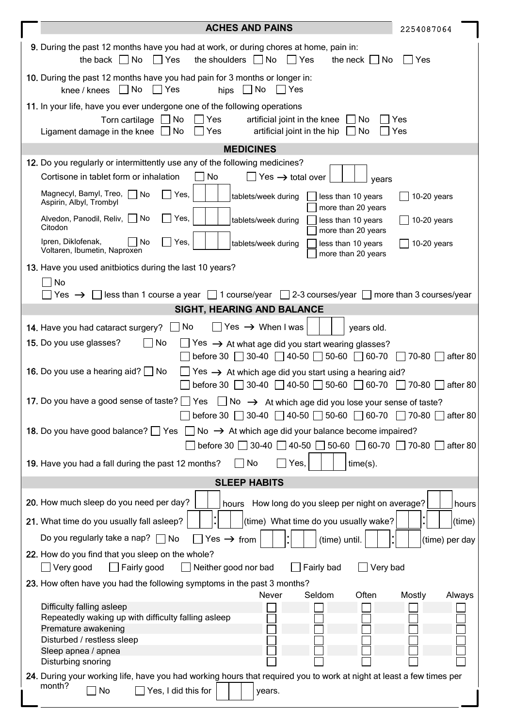|                                                                                                                                                                                                                            | <b>ACHES AND PAINS</b>                                                                                                                                                                               | 2254087064       |  |  |  |
|----------------------------------------------------------------------------------------------------------------------------------------------------------------------------------------------------------------------------|------------------------------------------------------------------------------------------------------------------------------------------------------------------------------------------------------|------------------|--|--|--|
|                                                                                                                                                                                                                            | 9. During the past 12 months have you had at work, or during chores at home, pain in:<br>the back $\Box$ No<br>$\Box$ Yes<br>the shoulders $\Box$ No<br>$\Box$ Yes<br>the neck $\vert \ \vert$<br>No | ∣ Yes            |  |  |  |
|                                                                                                                                                                                                                            | 10. During the past 12 months have you had pain for 3 months or longer in:<br>knee / knees $\Box$ No<br>$\Box$ Yes<br>hips $\Box$ No<br>  Yes                                                        |                  |  |  |  |
|                                                                                                                                                                                                                            | 11. In your life, have you ever undergone one of the following operations                                                                                                                            |                  |  |  |  |
|                                                                                                                                                                                                                            | $\overline{\phantom{a}}$ No<br>Torn cartilage<br>Yes<br>artificial joint in the knee<br>No.<br>Ligament damage in the knee $\Box$ No<br>∣ Yes<br>artificial joint in the hip<br>  No                 | Yes<br>Yes       |  |  |  |
|                                                                                                                                                                                                                            | <b>MEDICINES</b>                                                                                                                                                                                     |                  |  |  |  |
|                                                                                                                                                                                                                            | 12. Do you regularly or intermittently use any of the following medicines?                                                                                                                           |                  |  |  |  |
|                                                                                                                                                                                                                            | No<br>Cortisone in tablet form or inhalation<br>Yes $\rightarrow$ total over<br>years                                                                                                                |                  |  |  |  |
|                                                                                                                                                                                                                            | Magnecyl, Bamyl, Treo, No<br>Yes,<br>tablets/week during<br>less than 10 years<br>Aspirin, Albyl, Trombyl<br>more than 20 years                                                                      | $10-20$ years    |  |  |  |
|                                                                                                                                                                                                                            | Alvedon, Panodil, Reliv, No<br>Yes,<br>tablets/week during<br>less than 10 years<br>Citodon<br>more than 20 years                                                                                    | $10-20$ years    |  |  |  |
|                                                                                                                                                                                                                            | Ipren, Diklofenak,<br>No<br>Yes,<br>less than 10 years<br>tablets/week during<br>Voltaren, Ibumetin, Naproxen<br>more than 20 years                                                                  | $10-20$ years    |  |  |  |
|                                                                                                                                                                                                                            | 13. Have you used anitbiotics during the last 10 years?                                                                                                                                              |                  |  |  |  |
|                                                                                                                                                                                                                            | No<br>less than 1 course a year $\Box$ 1 course/year $\Box$ 2-3 courses/year $\Box$ more than 3 courses/year<br>Yes $\rightarrow$                                                                    |                  |  |  |  |
|                                                                                                                                                                                                                            | SIGHT, HEARING AND BALANCE                                                                                                                                                                           |                  |  |  |  |
|                                                                                                                                                                                                                            | No.<br>$\Box$ Yes $\rightarrow$ When I was<br>14. Have you had cataract surgery?<br>years old.                                                                                                       |                  |  |  |  |
|                                                                                                                                                                                                                            | $\blacksquare$ No<br>15. Do you use glasses?<br>Yes $\rightarrow$ At what age did you start wearing glasses?                                                                                         |                  |  |  |  |
| before 30 $\Box$ 30-40 $\Box$ 40-50 $\Box$ 50-60 $\Box$ 60-70<br>∏70-80<br>after 80                                                                                                                                        |                                                                                                                                                                                                      |                  |  |  |  |
| <b>16.</b> Do you use a hearing aid? $\Box$ No<br>Yes $\rightarrow$ At which age did you start using a hearing aid?<br>before 30 30-40 40-50 50-60 60-70<br>$\Box$ 70-80<br>after 80                                       |                                                                                                                                                                                                      |                  |  |  |  |
| 17. Do you have a good sense of taste? Yes<br>$\Box$ No $\rightarrow$ At which age did you lose your sense of taste?<br>before 30 $\Box$ 30-40 $\Box$ 40-50 $\Box$ 50-60 $\Box$ 60-70 $\Box$ 70-80  <br>after 80           |                                                                                                                                                                                                      |                  |  |  |  |
| $\Box$ No $\rightarrow$ At which age did your balance become impaired?<br><b>18.</b> Do you have good balance? $\Box$ Yes $\Box$<br>before 30 $\Box$ 30-40 $\Box$ 40-50 $\Box$ 50-60 $\Box$ 60-70 $\Box$ 70-80<br>after 80 |                                                                                                                                                                                                      |                  |  |  |  |
| 19. Have you had a fall during the past 12 months?<br>No<br>Yes,<br>$time(s)$ .                                                                                                                                            |                                                                                                                                                                                                      |                  |  |  |  |
|                                                                                                                                                                                                                            | <b>SLEEP HABITS</b>                                                                                                                                                                                  |                  |  |  |  |
|                                                                                                                                                                                                                            | 20. How much sleep do you need per day?<br>How long do you sleep per night on average?<br>hours                                                                                                      | hours            |  |  |  |
|                                                                                                                                                                                                                            | 21. What time do you usually fall asleep?<br>(time) What time do you usually wake?                                                                                                                   | (time)           |  |  |  |
|                                                                                                                                                                                                                            | Do you regularly take a nap? $\Box$ No<br>Yes $\rightarrow$ from<br>(time) until.                                                                                                                    | (time) per day   |  |  |  |
|                                                                                                                                                                                                                            | 22. How do you find that you sleep on the whole?<br>Very good<br>Fairly good<br>Very bad<br>Neither good nor bad<br>Fairly bad                                                                       |                  |  |  |  |
|                                                                                                                                                                                                                            | 23. How often have you had the following symptoms in the past 3 months?                                                                                                                              |                  |  |  |  |
|                                                                                                                                                                                                                            | Often<br>Never<br>Seldom<br>Difficulty falling asleep                                                                                                                                                | Mostly<br>Always |  |  |  |
|                                                                                                                                                                                                                            | Repeatedly waking up with difficulty falling asleep                                                                                                                                                  |                  |  |  |  |
|                                                                                                                                                                                                                            | Premature awakening<br>Disturbed / restless sleep                                                                                                                                                    |                  |  |  |  |
|                                                                                                                                                                                                                            | Sleep apnea / apnea                                                                                                                                                                                  |                  |  |  |  |
|                                                                                                                                                                                                                            | Disturbing snoring                                                                                                                                                                                   |                  |  |  |  |
|                                                                                                                                                                                                                            | 24. During your working life, have you had working hours that required you to work at night at least a few times per<br>month?                                                                       |                  |  |  |  |
|                                                                                                                                                                                                                            | No<br>Yes, I did this for<br>years.                                                                                                                                                                  |                  |  |  |  |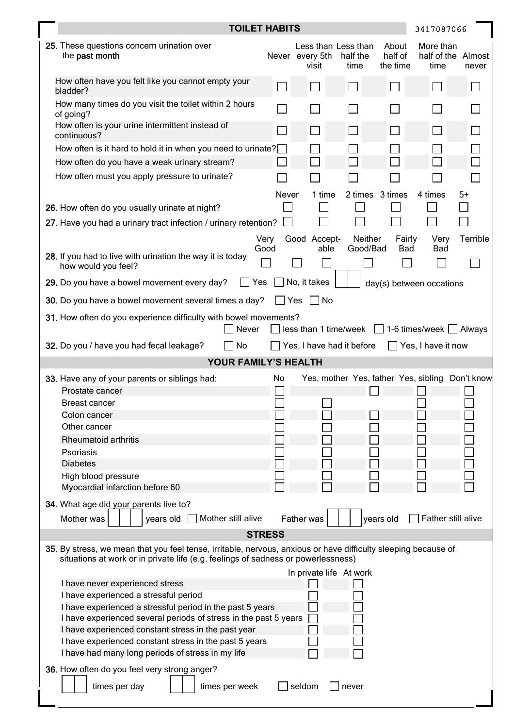|                                                                                                                                                                                                     | <b>TOILET HABITS</b>                                                            |               |                          |                                         |                              | 3417087066                                      |          |
|-----------------------------------------------------------------------------------------------------------------------------------------------------------------------------------------------------|---------------------------------------------------------------------------------|---------------|--------------------------|-----------------------------------------|------------------------------|-------------------------------------------------|----------|
|                                                                                                                                                                                                     | 25. These questions concern urination over<br>the past month                    |               | Never every 5th<br>visit | Less than Less than<br>half the<br>time | About<br>half of<br>the time | More than<br>half of the Almost<br>time         | never    |
|                                                                                                                                                                                                     | How often have you felt like you cannot empty your<br>bladder?                  |               |                          |                                         | $\perp$                      | $\mathbf{L}$                                    |          |
|                                                                                                                                                                                                     | How many times do you visit the toilet within 2 hours<br>of going?              |               |                          |                                         |                              |                                                 |          |
|                                                                                                                                                                                                     | How often is your urine intermittent instead of<br>continuous?                  |               |                          |                                         | $\sim$                       | $\sim$                                          |          |
|                                                                                                                                                                                                     | How often is it hard to hold it in when you need to urinate?                    |               |                          |                                         |                              |                                                 |          |
|                                                                                                                                                                                                     | How often do you have a weak urinary stream?                                    |               |                          |                                         |                              |                                                 |          |
|                                                                                                                                                                                                     | How often must you apply pressure to urinate?                                   | <b>Never</b>  | 1 time                   |                                         | 2 times 3 times              | 4 times                                         | 5+       |
|                                                                                                                                                                                                     | 26. How often do you usually urinate at night?                                  |               |                          |                                         |                              |                                                 |          |
|                                                                                                                                                                                                     | 27. Have you had a urinary tract infection / urinary retention?                 |               |                          |                                         |                              |                                                 |          |
|                                                                                                                                                                                                     |                                                                                 |               |                          |                                         |                              |                                                 |          |
|                                                                                                                                                                                                     | 28. If you had to live with urination the way it is today                       | Very<br>Good  | Good Accept-<br>able     | Neither<br>Good/Bad                     | Fairly<br><b>Bad</b>         | Very<br>Bad                                     | Terrible |
|                                                                                                                                                                                                     | how would you feel?                                                             |               |                          |                                         |                              |                                                 |          |
|                                                                                                                                                                                                     | 29. Do you have a bowel movement every day?<br>Yes                              |               | No, it takes             |                                         |                              | day(s) between occations                        |          |
|                                                                                                                                                                                                     | 30. Do you have a bowel movement several times a day?                           |               | <b>Yes</b><br>No         |                                         |                              |                                                 |          |
| 31. How often do you experience difficulty with bowel movements?<br>$less than 1 time/week \t 1-6 times/week \t $ Always<br>Never                                                                   |                                                                                 |               |                          |                                         |                              |                                                 |          |
|                                                                                                                                                                                                     | 32. Do you / have you had fecal leakage?<br>No                                  |               |                          | Yes, I have had it before               |                              | Yes, I have it now                              |          |
| YOUR FAMILY'S HEALTH                                                                                                                                                                                |                                                                                 |               |                          |                                         |                              |                                                 |          |
|                                                                                                                                                                                                     | 33. Have any of your parents or siblings had:                                   | No.           |                          |                                         |                              | Yes, mother Yes, father Yes, sibling Don't know |          |
|                                                                                                                                                                                                     | Prostate cancer                                                                 |               |                          |                                         |                              |                                                 |          |
|                                                                                                                                                                                                     | Breast cancer                                                                   |               |                          |                                         |                              |                                                 |          |
|                                                                                                                                                                                                     | Colon cancer                                                                    |               |                          |                                         |                              |                                                 |          |
|                                                                                                                                                                                                     | Other cancer                                                                    |               |                          |                                         |                              |                                                 |          |
|                                                                                                                                                                                                     | <b>Rheumatoid arthritis</b>                                                     |               |                          |                                         |                              |                                                 |          |
|                                                                                                                                                                                                     | Psoriasis<br><b>Diabetes</b>                                                    |               |                          |                                         |                              |                                                 |          |
|                                                                                                                                                                                                     | High blood pressure                                                             |               |                          |                                         |                              |                                                 |          |
|                                                                                                                                                                                                     | Myocardial infarction before 60                                                 |               |                          |                                         |                              |                                                 |          |
|                                                                                                                                                                                                     | 34. What age did your parents live to?                                          |               |                          |                                         |                              |                                                 |          |
|                                                                                                                                                                                                     | Mother was<br>Mother still alive<br>years old                                   |               | Father was               |                                         | years old                    | Father still alive                              |          |
|                                                                                                                                                                                                     |                                                                                 | <b>STRESS</b> |                          |                                         |                              |                                                 |          |
| 35. By stress, we mean that you feel tense, irritable, nervous, anxious or have difficulty sleeping because of<br>situations at work or in private life (e.g. feelings of sadness or powerlessness) |                                                                                 |               |                          |                                         |                              |                                                 |          |
|                                                                                                                                                                                                     | In private life At work                                                         |               |                          |                                         |                              |                                                 |          |
|                                                                                                                                                                                                     | I have never experienced stress                                                 |               |                          |                                         |                              |                                                 |          |
|                                                                                                                                                                                                     | I have experienced a stressful period                                           |               |                          |                                         |                              |                                                 |          |
| I have experienced a stressful period in the past 5 years<br>I have experienced several periods of stress in the past 5 years                                                                       |                                                                                 |               |                          |                                         |                              |                                                 |          |
| I have experienced constant stress in the past year                                                                                                                                                 |                                                                                 |               |                          |                                         |                              |                                                 |          |
|                                                                                                                                                                                                     | I have experienced constant stress in the past 5 years                          |               |                          |                                         |                              |                                                 |          |
|                                                                                                                                                                                                     | I have had many long periods of stress in my life                               |               |                          |                                         |                              |                                                 |          |
|                                                                                                                                                                                                     | 36. How often do you feel very strong anger?<br>times per day<br>times per week |               | seldom                   | never                                   |                              |                                                 |          |